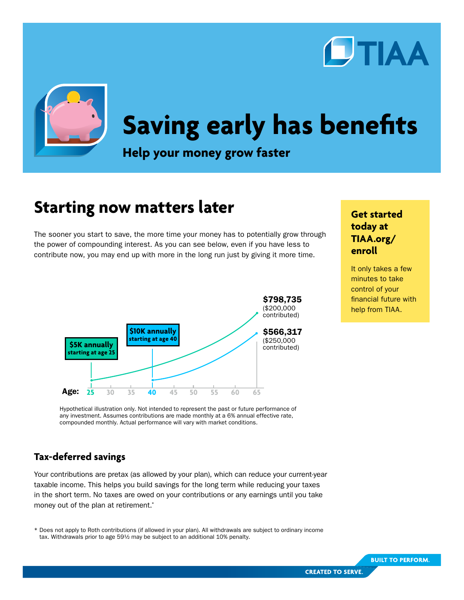



# **Saving early has benefits**

**Help your money grow faster**

# **Starting now matters later**

The sooner you start to save, the more time your money has to potentially grow through the power of compounding interest. As you can see below, even if you have less to contribute now, you may end up with more in the long run just by giving it more time.



## **today at [TIAA.org/](http://TIAA.org/enroll) [enroll](http://TIAA.org/enroll)**

**Get started** 

It only takes a few minutes to take control of your financial future with help from TIAA.

Hypothetical illustration only. Not intended to represent the past or future performance of any investment. Assumes contributions are made monthly at a 6% annual effective rate, compounded monthly. Actual performance will vary with market conditions.

#### **Tax-deferred savings**

Your contributions are pretax (as allowed by your plan), which can reduce your current-year taxable income. This helps you build savings for the long term while reducing your taxes in the short term. No taxes are owed on your contributions or any earnings until you take money out of the plan at retirement.\*

\* Does not apply to Roth contributions (if allowed in your plan). All withdrawals are subject to ordinary income tax. Withdrawals prior to age 59½ may be subject to an additional 10% penalty.



**BUILT TO PERFORM.**